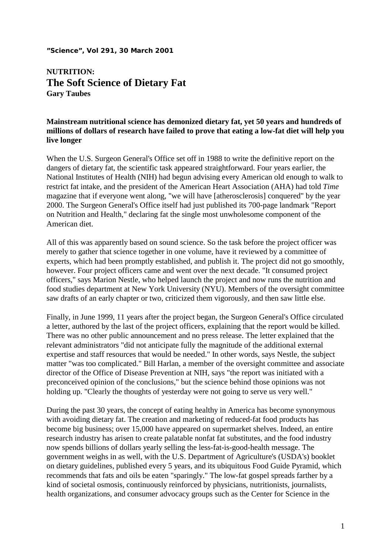**"Science", Vol 291, 30 March 2001**

### **NUTRITION: The Soft Science of Dietary Fat Gary Taubes**

#### **Mainstream nutritional science has demonized dietary fat, yet 50 years and hundreds of millions of dollars of research have failed to prove that eating a low-fat diet will help you live longer**

When the U.S. Surgeon General's Office set off in 1988 to write the definitive report on the dangers of dietary fat, the scientific task appeared straightforward. Four years earlier, the National Institutes of Health (NIH) had begun advising every American old enough to walk to restrict fat intake, and the president of the American Heart Association (AHA) had told *Time* magazine that if everyone went along, "we will have [atherosclerosis] conquered" by the year 2000. The Surgeon General's Office itself had just published its 700-page landmark "Report on Nutrition and Health," declaring fat the single most unwholesome component of the American diet.

All of this was apparently based on sound science. So the task before the project officer was merely to gather that science together in one volume, have it reviewed by a committee of experts, which had been promptly established, and publish it. The project did not go smoothly, however. Four project officers came and went over the next decade. "It consumed project officers," says Marion Nestle, who helped launch the project and now runs the nutrition and food studies department at New York University (NYU). Members of the oversight committee saw drafts of an early chapter or two, criticized them vigorously, and then saw little else.

Finally, in June 1999, 11 years after the project began, the Surgeon General's Office circulated a letter, authored by the last of the project officers, explaining that the report would be killed. There was no other public announcement and no press release. The letter explained that the relevant administrators "did not anticipate fully the magnitude of the additional external expertise and staff resources that would be needed." In other words, says Nestle, the subject matter "was too complicated." Bill Harlan, a member of the oversight committee and associate director of the Office of Disease Prevention at NIH, says "the report was initiated with a preconceived opinion of the conclusions," but the science behind those opinions was not holding up. "Clearly the thoughts of yesterday were not going to serve us very well."

During the past 30 years, the concept of eating healthy in America has become synonymous with avoiding dietary fat. The creation and marketing of reduced-fat food products has become big business; over 15,000 have appeared on supermarket shelves. Indeed, an entire research industry has arisen to create palatable nonfat fat substitutes, and the food industry now spends billions of dollars yearly selling the less-fat-is-good-health message. The government weighs in as well, with the U.S. Department of Agriculture's (USDA's) booklet on dietary guidelines, published every 5 years, and its ubiquitous Food Guide Pyramid, which recommends that fats and oils be eaten "sparingly." The low-fat gospel spreads farther by a kind of societal osmosis, continuously reinforced by physicians, nutritionists, journalists, health organizations, and consumer advocacy groups such as the Center for Science in the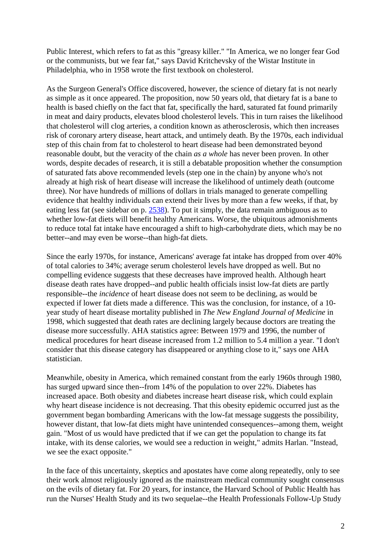Public Interest, which refers to fat as this "greasy killer." "In America, we no longer fear God or the communists, but we fear fat," says David Kritchevsky of the Wistar Institute in Philadelphia, who in 1958 wrote the first textbook on cholesterol.

As the Surgeon General's Office discovered, however, the science of dietary fat is not nearly as simple as it once appeared. The proposition, now 50 years old, that dietary fat is a bane to health is based chiefly on the fact that fat, specifically the hard, saturated fat found primarily in meat and dairy products, elevates blood cholesterol levels. This in turn raises the likelihood that cholesterol will clog arteries, a condition known as atherosclerosis, which then increases risk of coronary artery disease, heart attack, and untimely death. By the 1970s, each individual step of this chain from fat to cholesterol to heart disease had been demonstrated beyond reasonable doubt, but the veracity of the chain *as a whole* has never been proven. In other words, despite decades of research, it is still a debatable proposition whether the consumption of saturated fats above recommended levels (step one in the chain) by anyone who's not already at high risk of heart disease will increase the likelihood of untimely death (outcome three). Nor have hundreds of millions of dollars in trials managed to generate compelling evidence that healthy individuals can extend their lives by more than a few weeks, if that, by eating less fat (see sidebar on p. 2538). To put it simply, the data remain ambiguous as to whether low-fat diets will benefit healthy Americans. Worse, the ubiquitous admonishments to reduce total fat intake have encouraged a shift to high-carbohydrate diets, which may be no better--and may even be worse--than high-fat diets.

Since the early 1970s, for instance, Americans' average fat intake has dropped from over 40% of total calories to 34%; average serum cholesterol levels have dropped as well. But no compelling evidence suggests that these decreases have improved health. Although heart disease death rates have dropped--and public health officials insist low-fat diets are partly responsible--the *incidence* of heart disease does not seem to be declining, as would be expected if lower fat diets made a difference. This was the conclusion, for instance, of a 10 year study of heart disease mortality published in *The New England Journal of Medicine* in 1998, which suggested that death rates are declining largely because doctors are treating the disease more successfully. AHA statistics agree: Between 1979 and 1996, the number of medical procedures for heart disease increased from 1.2 million to 5.4 million a year. "I don't consider that this disease category has disappeared or anything close to it," says one AHA statistician.

Meanwhile, obesity in America, which remained constant from the early 1960s through 1980, has surged upward since then--from 14% of the population to over 22%. Diabetes has increased apace. Both obesity and diabetes increase heart disease risk, which could explain why heart disease incidence is not decreasing. That this obesity epidemic occurred just as the government began bombarding Americans with the low-fat message suggests the possibility, however distant, that low-fat diets might have unintended consequences--among them, weight gain. "Most of us would have predicted that if we can get the population to change its fat intake, with its dense calories, we would see a reduction in weight," admits Harlan. "Instead, we see the exact opposite."

In the face of this uncertainty, skeptics and apostates have come along repeatedly, only to see their work almost religiously ignored as the mainstream medical community sought consensus on the evils of dietary fat. For 20 years, for instance, the Harvard School of Public Health has run the Nurses' Health Study and its two sequelae--the Health Professionals Follow-Up Study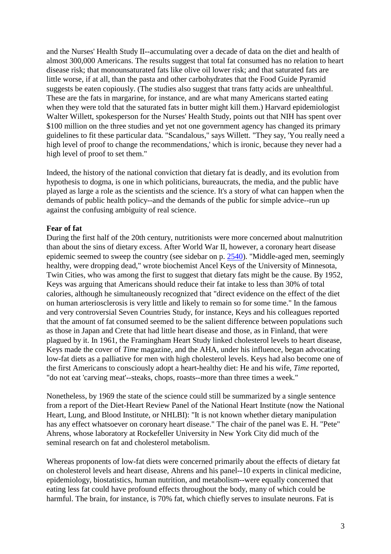and the Nurses' Health Study II--accumulating over a decade of data on the diet and health of almost 300,000 Americans. The results suggest that total fat consumed has no relation to heart disease risk; that monounsaturated fats like olive oil lower risk; and that saturated fats are little worse, if at all, than the pasta and other carbohydrates that the Food Guide Pyramid suggests be eaten copiously. (The studies also suggest that trans fatty acids are unhealthful. These are the fats in margarine, for instance, and are what many Americans started eating when they were told that the saturated fats in butter might kill them.) Harvard epidemiologist Walter Willett, spokesperson for the Nurses' Health Study, points out that NIH has spent over \$100 million on the three studies and yet not one government agency has changed its primary guidelines to fit these particular data. "Scandalous," says Willett. "They say, 'You really need a high level of proof to change the recommendations,' which is ironic, because they never had a high level of proof to set them."

Indeed, the history of the national conviction that dietary fat is deadly, and its evolution from hypothesis to dogma, is one in which politicians, bureaucrats, the media, and the public have played as large a role as the scientists and the science. It's a story of what can happen when the demands of public health policy--and the demands of the public for simple advice--run up against the confusing ambiguity of real science.

#### **Fear of fat**

During the first half of the 20th century, nutritionists were more concerned about malnutrition than about the sins of dietary excess. After World War II, however, a coronary heart disease epidemic seemed to sweep the country (see sidebar on p. 2540). "Middle-aged men, seemingly healthy, were dropping dead," wrote biochemist Ancel Keys of the University of Minnesota, Twin Cities, who was among the first to suggest that dietary fats might be the cause. By 1952, Keys was arguing that Americans should reduce their fat intake to less than 30% of total calories, although he simultaneously recognized that "direct evidence on the effect of the diet on human arteriosclerosis is very little and likely to remain so for some time." In the famous and very controversial Seven Countries Study, for instance, Keys and his colleagues reported that the amount of fat consumed seemed to be the salient difference between populations such as those in Japan and Crete that had little heart disease and those, as in Finland, that were plagued by it. In 1961, the Framingham Heart Study linked cholesterol levels to heart disease, Keys made the cover of *Time* magazine, and the AHA, under his influence, began advocating low-fat diets as a palliative for men with high cholesterol levels. Keys had also become one of the first Americans to consciously adopt a heart-healthy diet: He and his wife, *Time* reported, "do not eat 'carving meat'--steaks, chops, roasts--more than three times a week."

Nonetheless, by 1969 the state of the science could still be summarized by a single sentence from a report of the Diet-Heart Review Panel of the National Heart Institute (now the National Heart, Lung, and Blood Institute, or NHLBI): "It is not known whether dietary manipulation has any effect whatsoever on coronary heart disease." The chair of the panel was E. H. "Pete" Ahrens, whose laboratory at Rockefeller University in New York City did much of the seminal research on fat and cholesterol metabolism.

Whereas proponents of low-fat diets were concerned primarily about the effects of dietary fat on cholesterol levels and heart disease, Ahrens and his panel--10 experts in clinical medicine, epidemiology, biostatistics, human nutrition, and metabolism--were equally concerned that eating less fat could have profound effects throughout the body, many of which could be harmful. The brain, for instance, is 70% fat, which chiefly serves to insulate neurons. Fat is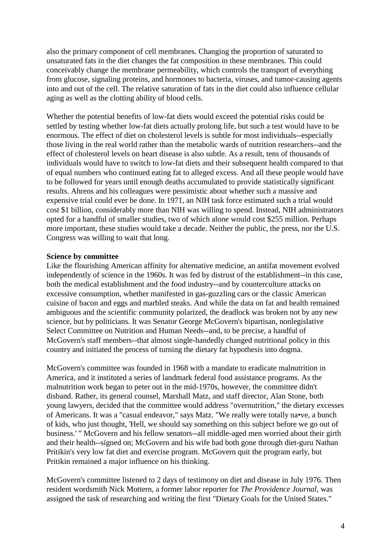also the primary component of cell membranes. Changing the proportion of saturated to unsaturated fats in the diet changes the fat composition in these membranes. This could conceivably change the membrane permeability, which controls the transport of everything from glucose, signaling proteins, and hormones to bacteria, viruses, and tumor-causing agents into and out of the cell. The relative saturation of fats in the diet could also influence cellular aging as well as the clotting ability of blood cells.

Whether the potential benefits of low-fat diets would exceed the potential risks could be settled by testing whether low-fat diets actually prolong life, but such a test would have to be enormous. The effect of diet on cholesterol levels is subtle for most individuals--especially those living in the real world rather than the metabolic wards of nutrition researchers--and the effect of cholesterol levels on heart disease is also subtle. As a result, tens of thousands of individuals would have to switch to low-fat diets and their subsequent health compared to that of equal numbers who continued eating fat to alleged excess. And all these people would have to be followed for years until enough deaths accumulated to provide statistically significant results. Ahrens and his colleagues were pessimistic about whether such a massive and expensive trial could ever be done. In 1971, an NIH task force estimated such a trial would cost \$1 billion, considerably more than NIH was willing to spend. Instead, NIH administrators opted for a handful of smaller studies, two of which alone would cost \$255 million. Perhaps more important, these studies would take a decade. Neither the public, the press, nor the U.S. Congress was willing to wait that long.

#### **Science by committee**

Like the flourishing American affinity for alternative medicine, an antifat movement evolved independently of science in the 1960s. It was fed by distrust of the establishment--in this case, both the medical establishment and the food industry--and by counterculture attacks on excessive consumption, whether manifested in gas-guzzling cars or the classic American cuisine of bacon and eggs and marbled steaks. And while the data on fat and health remained ambiguous and the scientific community polarized, the deadlock was broken not by any new science, but by politicians. It was Senator George McGovern's bipartisan, nonlegislative Select Committee on Nutrition and Human Needs--and, to be precise, a handful of McGovern's staff members--that almost single-handedly changed nutritional policy in this country and initiated the process of turning the dietary fat hypothesis into dogma.

McGovern's committee was founded in 1968 with a mandate to eradicate malnutrition in America, and it instituted a series of landmark federal food assistance programs. As the malnutrition work began to peter out in the mid-1970s, however, the committee didn't disband. Rather, its general counsel, Marshall Matz, and staff director, Alan Stone, both young lawyers, decided that the committee would address "overnutrition," the dietary excesses of Americans. It was a "casual endeavor," says Matz. "We really were totally na•ve, a bunch of kids, who just thought, 'Hell, we should say something on this subject before we go out of business.' " McGovern and his fellow senators--all middle-aged men worried about their girth and their health--signed on; McGovern and his wife had both gone through diet-guru Nathan Pritikin's very low fat diet and exercise program. McGovern quit the program early, but Pritikin remained a major influence on his thinking.

McGovern's committee listened to 2 days of testimony on diet and disease in July 1976. Then resident wordsmith Nick Mottern, a former labor reporter for *The Providence Journal*, was assigned the task of researching and writing the first "Dietary Goals for the United States."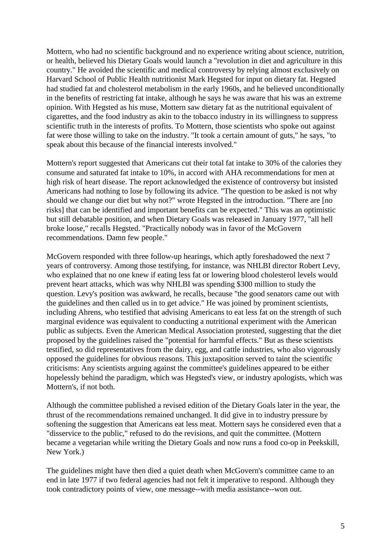Mottern, who had no scientific background and no experience writing about science, nutrition, or health, believed his Dietary Goals would launch a "revolution in diet and agriculture in this country." He avoided the scientific and medical controversy by relying almost exclusively on Harvard School of Public Health nutritionist Mark Hegsted for input on dietary fat. Hegsted had studied fat and cholesterol metabolism in the early 1960s, and he believed unconditionally in the benefits of restricting fat intake, although he says he was aware that his was an extreme opinion. With Hegsted as his muse, Mottern saw dietary fat as the nutritional equivalent of cigarettes, and the food industry as akin to the tobacco industry in its willingness to suppress scientific truth in the interests of profits. To Mottern, those scientists who spoke out against fat were those willing to take on the industry. "It took a certain amount of guts," he says, "to speak about this because of the financial interests involved."

Mottern's report suggested that Americans cut their total fat intake to 30% of the calories they consume and saturated fat intake to 10%, in accord with AHA recommendations for men at high risk of heart disease. The report acknowledged the existence of controversy but insisted Americans had nothing to lose by following its advice. "The question to be asked is not why should we change our diet but why not?" wrote Hegsted in the introduction. "There are [no risks] that can be identified and important benefits can be expected." This was an optimistic but still debatable position, and when Dietary Goals was released in January 1977, "all hell broke loose," recalls Hegsted. "Practically nobody was in favor of the McGovern recommendations. Damn few people."

McGovern responded with three follow-up hearings, which aptly foreshadowed the next 7 years of controversy. Among those testifying, for instance, was NHLBI director Robert Levy, who explained that no one knew if eating less fat or lowering blood cholesterol levels would prevent heart attacks, which was why NHLBI was spending \$300 million to study the question. Levy's position was awkward, he recalls, because "the good senators came out with the guidelines and then called us in to get advice." He was joined by prominent scientists, including Ahrens, who testified that advising Americans to eat less fat on the strength of such marginal evidence was equivalent to conducting a nutritional experiment with the American public as subjects. Even the American Medical Association protested, suggesting that the diet proposed by the guidelines raised the "potential for harmful effects." But as these scientists testified, so did representatives from the dairy, egg, and cattle industries, who also vigorously opposed the guidelines for obvious reasons. This juxtaposition served to taint the scientific criticisms: Any scientists arguing against the committee's guidelines appeared to be either hopelessly behind the paradigm, which was Hegsted's view, or industry apologists, which was Mottern's, if not both.

Although the committee published a revised edition of the Dietary Goals later in the year, the thrust of the recommendations remained unchanged. It did give in to industry pressure by softening the suggestion that Americans eat less meat. Mottern says he considered even that a "disservice to the public," refused to do the revisions, and quit the committee. (Mottern became a vegetarian while writing the Dietary Goals and now runs a food co-op in Peekskill, New York.)

The guidelines might have then died a quiet death when McGovern's committee came to an end in late 1977 if two federal agencies had not felt it imperative to respond. Although they took contradictory points of view, one message--with media assistance--won out.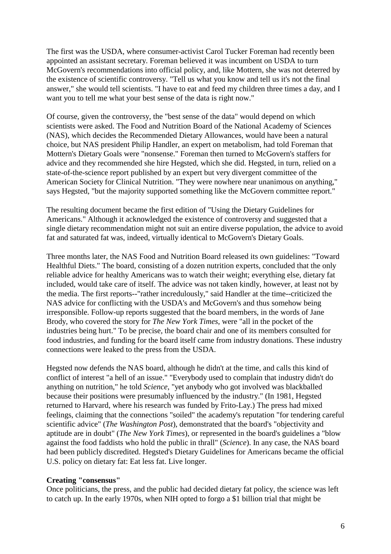The first was the USDA, where consumer-activist Carol Tucker Foreman had recently been appointed an assistant secretary. Foreman believed it was incumbent on USDA to turn McGovern's recommendations into official policy, and, like Mottern, she was not deterred by the existence of scientific controversy. "Tell us what you know and tell us it's not the final answer," she would tell scientists. "I have to eat and feed my children three times a day, and I want you to tell me what your best sense of the data is right now."

Of course, given the controversy, the "best sense of the data" would depend on which scientists were asked. The Food and Nutrition Board of the National Academy of Sciences (NAS), which decides the Recommended Dietary Allowances, would have been a natural choice, but NAS president Philip Handler, an expert on metabolism, had told Foreman that Mottern's Dietary Goals were "nonsense." Foreman then turned to McGovern's staffers for advice and they recommended she hire Hegsted, which she did. Hegsted, in turn, relied on a state-of-the-science report published by an expert but very divergent committee of the American Society for Clinical Nutrition. "They were nowhere near unanimous on anything," says Hegsted, "but the majority supported something like the McGovern committee report."

The resulting document became the first edition of "Using the Dietary Guidelines for Americans." Although it acknowledged the existence of controversy and suggested that a single dietary recommendation might not suit an entire diverse population, the advice to avoid fat and saturated fat was, indeed, virtually identical to McGovern's Dietary Goals.

Three months later, the NAS Food and Nutrition Board released its own guidelines: "Toward Healthful Diets." The board, consisting of a dozen nutrition experts, concluded that the only reliable advice for healthy Americans was to watch their weight; everything else, dietary fat included, would take care of itself. The advice was not taken kindly, however, at least not by the media. The first reports--"rather incredulously," said Handler at the time--criticized the NAS advice for conflicting with the USDA's and McGovern's and thus somehow being irresponsible. Follow-up reports suggested that the board members, in the words of Jane Brody, who covered the story for *The New York Times*, were "all in the pocket of the industries being hurt." To be precise, the board chair and one of its members consulted for food industries, and funding for the board itself came from industry donations. These industry connections were leaked to the press from the USDA.

Hegsted now defends the NAS board, although he didn't at the time, and calls this kind of conflict of interest "a hell of an issue." "Everybody used to complain that industry didn't do anything on nutrition," he told *Science*, "yet anybody who got involved was blackballed because their positions were presumably influenced by the industry." (In 1981, Hegsted returned to Harvard, where his research was funded by Frito-Lay.) The press had mixed feelings, claiming that the connections "soiled" the academy's reputation "for tendering careful scientific advice" (*The Washington Post*), demonstrated that the board's "objectivity and aptitude are in doubt" (*The New York Times*), or represented in the board's guidelines a "blow against the food faddists who hold the public in thrall" (*Science*). In any case, the NAS board had been publicly discredited. Hegsted's Dietary Guidelines for Americans became the official U.S. policy on dietary fat: Eat less fat. Live longer.

#### **Creating "consensus"**

Once politicians, the press, and the public had decided dietary fat policy, the science was left to catch up. In the early 1970s, when NIH opted to forgo a \$1 billion trial that might be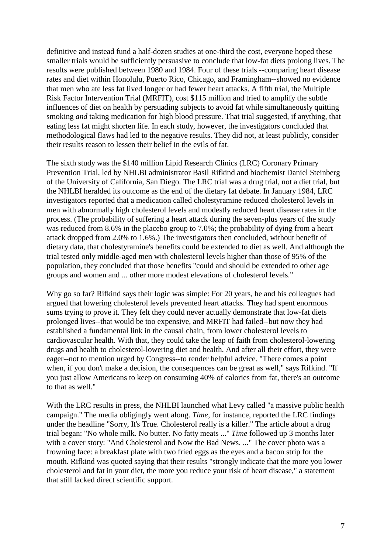definitive and instead fund a half-dozen studies at one-third the cost, everyone hoped these smaller trials would be sufficiently persuasive to conclude that low-fat diets prolong lives. The results were published between 1980 and 1984. Four of these trials --comparing heart disease rates and diet within Honolulu, Puerto Rico, Chicago, and Framingham--showed no evidence that men who ate less fat lived longer or had fewer heart attacks. A fifth trial, the Multiple Risk Factor Intervention Trial (MRFIT), cost \$115 million and tried to amplify the subtle influences of diet on health by persuading subjects to avoid fat while simultaneously quitting smoking *and* taking medication for high blood pressure. That trial suggested, if anything, that eating less fat might shorten life. In each study, however, the investigators concluded that methodological flaws had led to the negative results. They did not, at least publicly, consider their results reason to lessen their belief in the evils of fat.

The sixth study was the \$140 million Lipid Research Clinics (LRC) Coronary Primary Prevention Trial, led by NHLBI administrator Basil Rifkind and biochemist Daniel Steinberg of the University of California, San Diego. The LRC trial was a drug trial, not a diet trial, but the NHLBI heralded its outcome as the end of the dietary fat debate. In January 1984, LRC investigators reported that a medication called cholestyramine reduced cholesterol levels in men with abnormally high cholesterol levels and modestly reduced heart disease rates in the process. (The probability of suffering a heart attack during the seven-plus years of the study was reduced from 8.6% in the placebo group to 7.0%; the probability of dying from a heart attack dropped from 2.0% to 1.6%.) The investigators then concluded, without benefit of dietary data, that cholestyramine's benefits could be extended to diet as well. And although the trial tested only middle-aged men with cholesterol levels higher than those of 95% of the population, they concluded that those benefits "could and should be extended to other age groups and women and ... other more modest elevations of cholesterol levels."

Why go so far? Rifkind says their logic was simple: For 20 years, he and his colleagues had argued that lowering cholesterol levels prevented heart attacks. They had spent enormous sums trying to prove it. They felt they could never actually demonstrate that low-fat diets prolonged lives--that would be too expensive, and MRFIT had failed--but now they had established a fundamental link in the causal chain, from lower cholesterol levels to cardiovascular health. With that, they could take the leap of faith from cholesterol-lowering drugs and health to cholesterol-lowering diet and health. And after all their effort, they were eager--not to mention urged by Congress--to render helpful advice. "There comes a point when, if you don't make a decision, the consequences can be great as well," says Rifkind. "If you just allow Americans to keep on consuming 40% of calories from fat, there's an outcome to that as well."

With the LRC results in press, the NHLBI launched what Levy called "a massive public health campaign." The media obligingly went along. *Time*, for instance, reported the LRC findings under the headline "Sorry, It's True. Cholesterol really is a killer." The article about a drug trial began: "No whole milk. No butter. No fatty meats ..." *Time* followed up 3 months later with a cover story: "And Cholesterol and Now the Bad News. ..." The cover photo was a frowning face: a breakfast plate with two fried eggs as the eyes and a bacon strip for the mouth. Rifkind was quoted saying that their results "strongly indicate that the more you lower cholesterol and fat in your diet, the more you reduce your risk of heart disease," a statement that still lacked direct scientific support.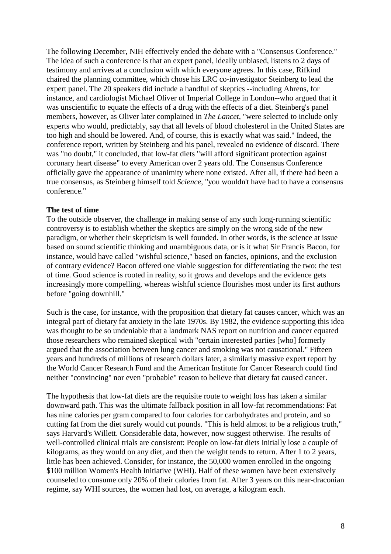The following December, NIH effectively ended the debate with a "Consensus Conference." The idea of such a conference is that an expert panel, ideally unbiased, listens to 2 days of testimony and arrives at a conclusion with which everyone agrees. In this case, Rifkind chaired the planning committee, which chose his LRC co-investigator Steinberg to lead the expert panel. The 20 speakers did include a handful of skeptics --including Ahrens, for instance, and cardiologist Michael Oliver of Imperial College in London--who argued that it was unscientific to equate the effects of a drug with the effects of a diet. Steinberg's panel members, however, as Oliver later complained in *The Lancet*, "were selected to include only experts who would, predictably, say that all levels of blood cholesterol in the United States are too high and should be lowered. And, of course, this is exactly what was said." Indeed, the conference report, written by Steinberg and his panel, revealed no evidence of discord. There was "no doubt," it concluded, that low-fat diets "will afford significant protection against coronary heart disease" to every American over 2 years old. The Consensus Conference officially gave the appearance of unanimity where none existed. After all, if there had been a true consensus, as Steinberg himself told *Science*, "you wouldn't have had to have a consensus conference."

#### **The test of time**

To the outside observer, the challenge in making sense of any such long-running scientific controversy is to establish whether the skeptics are simply on the wrong side of the new paradigm, or whether their skepticism is well founded. In other words, is the science at issue based on sound scientific thinking and unambiguous data, or is it what Sir Francis Bacon, for instance, would have called "wishful science," based on fancies, opinions, and the exclusion of contrary evidence? Bacon offered one viable suggestion for differentiating the two: the test of time. Good science is rooted in reality, so it grows and develops and the evidence gets increasingly more compelling, whereas wishful science flourishes most under its first authors before "going downhill."

Such is the case, for instance, with the proposition that dietary fat causes cancer, which was an integral part of dietary fat anxiety in the late 1970s. By 1982, the evidence supporting this idea was thought to be so undeniable that a landmark NAS report on nutrition and cancer equated those researchers who remained skeptical with "certain interested parties [who] formerly argued that the association between lung cancer and smoking was not causational." Fifteen years and hundreds of millions of research dollars later, a similarly massive expert report by the World Cancer Research Fund and the American Institute for Cancer Research could find neither "convincing" nor even "probable" reason to believe that dietary fat caused cancer.

The hypothesis that low-fat diets are the requisite route to weight loss has taken a similar downward path. This was the ultimate fallback position in all low-fat recommendations: Fat has nine calories per gram compared to four calories for carbohydrates and protein, and so cutting fat from the diet surely would cut pounds. "This is held almost to be a religious truth," says Harvard's Willett. Considerable data, however, now suggest otherwise. The results of well-controlled clinical trials are consistent: People on low-fat diets initially lose a couple of kilograms, as they would on any diet, and then the weight tends to return. After 1 to 2 years, little has been achieved. Consider, for instance, the 50,000 women enrolled in the ongoing \$100 million Women's Health Initiative (WHI). Half of these women have been extensively counseled to consume only 20% of their calories from fat. After 3 years on this near-draconian regime, say WHI sources, the women had lost, on average, a kilogram each.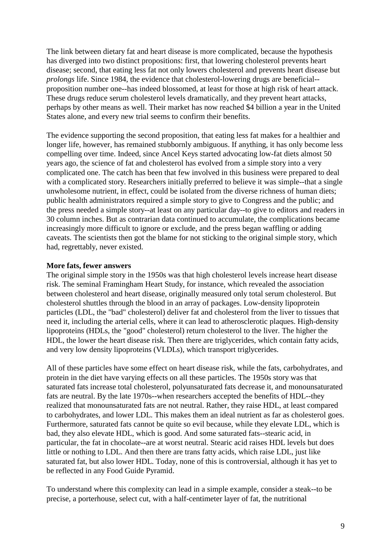The link between dietary fat and heart disease is more complicated, because the hypothesis has diverged into two distinct propositions: first, that lowering cholesterol prevents heart disease; second, that eating less fat not only lowers cholesterol and prevents heart disease but *prolongs* life. Since 1984, the evidence that cholesterol-lowering drugs are beneficial- proposition number one--has indeed blossomed, at least for those at high risk of heart attack. These drugs reduce serum cholesterol levels dramatically, and they prevent heart attacks, perhaps by other means as well. Their market has now reached \$4 billion a year in the United States alone, and every new trial seems to confirm their benefits.

The evidence supporting the second proposition, that eating less fat makes for a healthier and longer life, however, has remained stubbornly ambiguous. If anything, it has only become less compelling over time. Indeed, since Ancel Keys started advocating low-fat diets almost 50 years ago, the science of fat and cholesterol has evolved from a simple story into a very complicated one. The catch has been that few involved in this business were prepared to deal with a complicated story. Researchers initially preferred to believe it was simple--that a single unwholesome nutrient, in effect, could be isolated from the diverse richness of human diets; public health administrators required a simple story to give to Congress and the public; and the press needed a simple story--at least on any particular day--to give to editors and readers in 30 column inches. But as contrarian data continued to accumulate, the complications became increasingly more difficult to ignore or exclude, and the press began waffling or adding caveats. The scientists then got the blame for not sticking to the original simple story, which had, regrettably, never existed.

#### **More fats, fewer answers**

The original simple story in the 1950s was that high cholesterol levels increase heart disease risk. The seminal Framingham Heart Study, for instance, which revealed the association between cholesterol and heart disease, originally measured only total serum cholesterol. But cholesterol shuttles through the blood in an array of packages. Low-density lipoprotein particles (LDL, the "bad" cholesterol) deliver fat and cholesterol from the liver to tissues that need it, including the arterial cells, where it can lead to atherosclerotic plaques. High-density lipoproteins (HDLs, the "good" cholesterol) return cholesterol to the liver. The higher the HDL, the lower the heart disease risk. Then there are triglycerides, which contain fatty acids, and very low density lipoproteins (VLDLs), which transport triglycerides.

All of these particles have some effect on heart disease risk, while the fats, carbohydrates, and protein in the diet have varying effects on all these particles. The 1950s story was that saturated fats increase total cholesterol, polyunsaturated fats decrease it, and monounsaturated fats are neutral. By the late 1970s--when researchers accepted the benefits of HDL--they realized that monounsaturated fats are not neutral. Rather, they raise HDL, at least compared to carbohydrates, and lower LDL. This makes them an ideal nutrient as far as cholesterol goes. Furthermore, saturated fats cannot be quite so evil because, while they elevate LDL, which is bad, they also elevate HDL, which is good. And some saturated fats--stearic acid, in particular, the fat in chocolate--are at worst neutral. Stearic acid raises HDL levels but does little or nothing to LDL. And then there are trans fatty acids, which raise LDL, just like saturated fat, but also lower HDL. Today, none of this is controversial, although it has yet to be reflected in any Food Guide Pyramid.

To understand where this complexity can lead in a simple example, consider a steak--to be precise, a porterhouse, select cut, with a half-centimeter layer of fat, the nutritional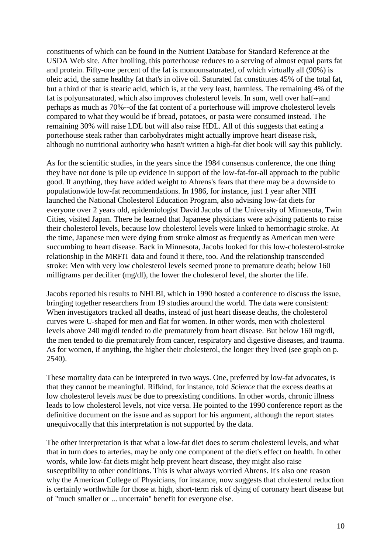constituents of which can be found in the Nutrient Database for Standard Reference at the USDA Web site. After broiling, this porterhouse reduces to a serving of almost equal parts fat and protein. Fifty-one percent of the fat is monounsaturated, of which virtually all (90%) is oleic acid, the same healthy fat that's in olive oil. Saturated fat constitutes 45% of the total fat, but a third of that is stearic acid, which is, at the very least, harmless. The remaining 4% of the fat is polyunsaturated, which also improves cholesterol levels. In sum, well over half--and perhaps as much as 70%--of the fat content of a porterhouse will improve cholesterol levels compared to what they would be if bread, potatoes, or pasta were consumed instead. The remaining 30% will raise LDL but will also raise HDL. All of this suggests that eating a porterhouse steak rather than carbohydrates might actually improve heart disease risk, although no nutritional authority who hasn't written a high-fat diet book will say this publicly.

As for the scientific studies, in the years since the 1984 consensus conference, the one thing they have not done is pile up evidence in support of the low-fat-for-all approach to the public good. If anything, they have added weight to Ahrens's fears that there may be a downside to populationwide low-fat recommendations. In 1986, for instance, just 1 year after NIH launched the National Cholesterol Education Program, also advising low-fat diets for everyone over 2 years old, epidemiologist David Jacobs of the University of Minnesota, Twin Cities, visited Japan. There he learned that Japanese physicians were advising patients to raise their cholesterol levels, because low cholesterol levels were linked to hemorrhagic stroke. At the time, Japanese men were dying from stroke almost as frequently as American men were succumbing to heart disease. Back in Minnesota, Jacobs looked for this low-cholesterol-stroke relationship in the MRFIT data and found it there, too. And the relationship transcended stroke: Men with very low cholesterol levels seemed prone to premature death; below 160 milligrams per deciliter (mg/dl), the lower the cholesterol level, the shorter the life.

Jacobs reported his results to NHLBI, which in 1990 hosted a conference to discuss the issue, bringing together researchers from 19 studies around the world. The data were consistent: When investigators tracked all deaths, instead of just heart disease deaths, the cholesterol curves were U-shaped for men and flat for women. In other words, men with cholesterol levels above 240 mg/dl tended to die prematurely from heart disease. But below 160 mg/dl, the men tended to die prematurely from cancer, respiratory and digestive diseases, and trauma. As for women, if anything, the higher their cholesterol, the longer they lived (see graph on p. 2540).

These mortality data can be interpreted in two ways. One, preferred by low-fat advocates, is that they cannot be meaningful. Rifkind, for instance, told *Science* that the excess deaths at low cholesterol levels *must* be due to preexisting conditions. In other words, chronic illness leads to low cholesterol levels, not vice versa. He pointed to the 1990 conference report as the definitive document on the issue and as support for his argument, although the report states unequivocally that this interpretation is not supported by the data.

The other interpretation is that what a low-fat diet does to serum cholesterol levels, and what that in turn does to arteries, may be only one component of the diet's effect on health. In other words, while low-fat diets might help prevent heart disease, they might also raise susceptibility to other conditions. This is what always worried Ahrens. It's also one reason why the American College of Physicians, for instance, now suggests that cholesterol reduction is certainly worthwhile for those at high, short-term risk of dying of coronary heart disease but of "much smaller or ... uncertain" benefit for everyone else.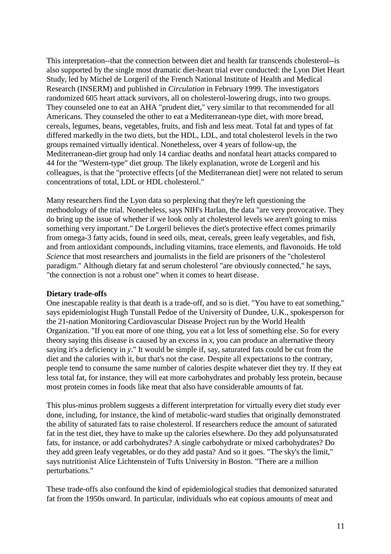This interpretation--that the connection between diet and health far transcends cholesterol--is also supported by the single most dramatic diet-heart trial ever conducted: the Lyon Diet Heart Study, led by Michel de Lorgeril of the French National Institute of Health and Medical Research (INSERM) and published in *Circulation* in February 1999. The investigators randomized 605 heart attack survivors, all on cholesterol-lowering drugs, into two groups. They counseled one to eat an AHA "prudent diet," very similar to that recommended for all Americans. They counseled the other to eat a Mediterranean-type diet, with more bread, cereals, legumes, beans, vegetables, fruits, and fish and less meat. Total fat and types of fat differed markedly in the two diets, but the HDL, LDL, and total cholesterol levels in the two groups remained virtually identical. Nonetheless, over 4 years of follow-up, the Mediterranean-diet group had only 14 cardiac deaths and nonfatal heart attacks compared to 44 for the "Western-type" diet group. The likely explanation, wrote de Lorgeril and his colleagues, is that the "protective effects [of the Mediterranean diet] were not related to serum concentrations of total, LDL or HDL cholesterol."

Many researchers find the Lyon data so perplexing that they're left questioning the methodology of the trial. Nonetheless, says NIH's Harlan, the data "are very provocative. They do bring up the issue of whether if we look only at cholesterol levels we aren't going to miss something very important." De Lorgeril believes the diet's protective effect comes primarily from omega-3 fatty acids, found in seed oils, meat, cereals, green leafy vegetables, and fish, and from antioxidant compounds, including vitamins, trace elements, and flavonoids. He told *Science* that most researchers and journalists in the field are prisoners of the "cholesterol paradigm." Although dietary fat and serum cholesterol "are obviously connected," he says, "the connection is not a robust one" when it comes to heart disease.

#### **Dietary trade-offs**

One inescapable reality is that death is a trade-off, and so is diet. "You have to eat something," says epidemiologist Hugh Tunstall Pedoe of the University of Dundee, U.K., spokesperson for the 21-nation Monitoring Cardiovascular Disease Project run by the World Health Organization. "If you eat more of one thing, you eat a lot less of something else. So for every theory saying this disease is caused by an excess in *x*, you can produce an alternative theory saying it's a deficiency in *y*." It would be simple if, say, saturated fats could be cut from the diet and the calories with it, but that's not the case. Despite all expectations to the contrary, people tend to consume the same number of calories despite whatever diet they try. If they eat less total fat, for instance, they will eat more carbohydrates and probably less protein, because most protein comes in foods like meat that also have considerable amounts of fat.

This plus-minus problem suggests a different interpretation for virtually every diet study ever done, including, for instance, the kind of metabolic-ward studies that originally demonstrated the ability of saturated fats to raise cholesterol. If researchers reduce the amount of saturated fat in the test diet, they have to make up the calories elsewhere. Do they add polyunsaturated fats, for instance, or add carbohydrates? A single carbohydrate or mixed carbohydrates? Do they add green leafy vegetables, or do they add pasta? And so it goes. "The sky's the limit," says nutritionist Alice Lichtenstein of Tufts University in Boston. "There are a million perturbations."

These trade-offs also confound the kind of epidemiological studies that demonized saturated fat from the 1950s onward. In particular, individuals who eat copious amounts of meat and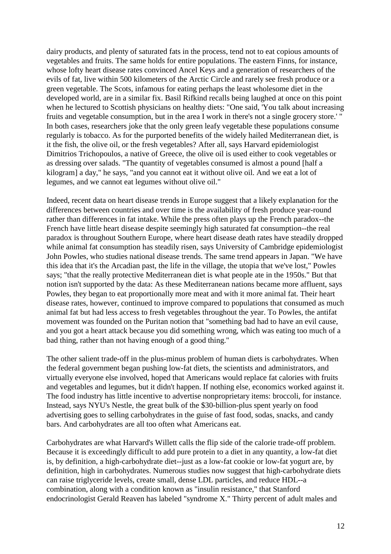dairy products, and plenty of saturated fats in the process, tend not to eat copious amounts of vegetables and fruits. The same holds for entire populations. The eastern Finns, for instance, whose lofty heart disease rates convinced Ancel Keys and a generation of researchers of the evils of fat, live within 500 kilometers of the Arctic Circle and rarely see fresh produce or a green vegetable. The Scots, infamous for eating perhaps the least wholesome diet in the developed world, are in a similar fix. Basil Rifkind recalls being laughed at once on this point when he lectured to Scottish physicians on healthy diets: "One said, 'You talk about increasing fruits and vegetable consumption, but in the area I work in there's not a single grocery store.' " In both cases, researchers joke that the only green leafy vegetable these populations consume regularly is tobacco. As for the purported benefits of the widely hailed Mediterranean diet, is it the fish, the olive oil, or the fresh vegetables? After all, says Harvard epidemiologist Dimitrios Trichopoulos, a native of Greece, the olive oil is used either to cook vegetables or as dressing over salads. "The quantity of vegetables consumed is almost a pound [half a kilogram] a day," he says, "and you cannot eat it without olive oil. And we eat a lot of legumes, and we cannot eat legumes without olive oil."

Indeed, recent data on heart disease trends in Europe suggest that a likely explanation for the differences between countries and over time is the availability of fresh produce year-round rather than differences in fat intake. While the press often plays up the French paradox--the French have little heart disease despite seemingly high saturated fat consumption--the real paradox is throughout Southern Europe, where heart disease death rates have steadily dropped while animal fat consumption has steadily risen, says University of Cambridge epidemiologist John Powles, who studies national disease trends. The same trend appears in Japan. "We have this idea that it's the Arcadian past, the life in the village, the utopia that we've lost," Powles says; "that the really protective Mediterranean diet is what people ate in the 1950s." But that notion isn't supported by the data: As these Mediterranean nations became more affluent, says Powles, they began to eat proportionally more meat and with it more animal fat. Their heart disease rates, however, continued to improve compared to populations that consumed as much animal fat but had less access to fresh vegetables throughout the year. To Powles, the antifat movement was founded on the Puritan notion that "something bad had to have an evil cause, and you got a heart attack because you did something wrong, which was eating too much of a bad thing, rather than not having enough of a good thing."

The other salient trade-off in the plus-minus problem of human diets is carbohydrates. When the federal government began pushing low-fat diets, the scientists and administrators, and virtually everyone else involved, hoped that Americans would replace fat calories with fruits and vegetables and legumes, but it didn't happen. If nothing else, economics worked against it. The food industry has little incentive to advertise nonproprietary items: broccoli, for instance. Instead, says NYU's Nestle, the great bulk of the \$30-billion-plus spent yearly on food advertising goes to selling carbohydrates in the guise of fast food, sodas, snacks, and candy bars. And carbohydrates are all too often what Americans eat.

Carbohydrates are what Harvard's Willett calls the flip side of the calorie trade-off problem. Because it is exceedingly difficult to add pure protein to a diet in any quantity, a low-fat diet is, by definition, a high-carbohydrate diet--just as a low-fat cookie or low-fat yogurt are, by definition, high in carbohydrates. Numerous studies now suggest that high-carbohydrate diets can raise triglyceride levels, create small, dense LDL particles, and reduce HDL--a combination, along with a condition known as "insulin resistance," that Stanford endocrinologist Gerald Reaven has labeled "syndrome X." Thirty percent of adult males and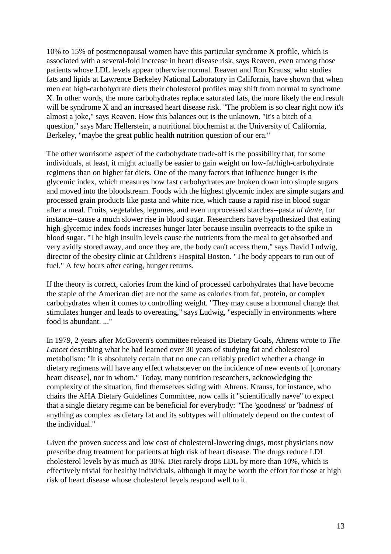10% to 15% of postmenopausal women have this particular syndrome X profile, which is associated with a several-fold increase in heart disease risk, says Reaven, even among those patients whose LDL levels appear otherwise normal. Reaven and Ron Krauss, who studies fats and lipids at Lawrence Berkeley National Laboratory in California, have shown that when men eat high-carbohydrate diets their cholesterol profiles may shift from normal to syndrome X. In other words, the more carbohydrates replace saturated fats, the more likely the end result will be syndrome X and an increased heart disease risk. "The problem is so clear right now it's almost a joke," says Reaven. How this balances out is the unknown. "It's a bitch of a question," says Marc Hellerstein, a nutritional biochemist at the University of California, Berkeley, "maybe the great public health nutrition question of our era."

The other worrisome aspect of the carbohydrate trade-off is the possibility that, for some individuals, at least, it might actually be easier to gain weight on low-fat/high-carbohydrate regimens than on higher fat diets. One of the many factors that influence hunger is the glycemic index, which measures how fast carbohydrates are broken down into simple sugars and moved into the bloodstream. Foods with the highest glycemic index are simple sugars and processed grain products like pasta and white rice, which cause a rapid rise in blood sugar after a meal. Fruits, vegetables, legumes, and even unprocessed starches--pasta *al dente*, for instance--cause a much slower rise in blood sugar. Researchers have hypothesized that eating high-glycemic index foods increases hunger later because insulin overreacts to the spike in blood sugar. "The high insulin levels cause the nutrients from the meal to get absorbed and very avidly stored away, and once they are, the body can't access them," says David Ludwig, director of the obesity clinic at Children's Hospital Boston. "The body appears to run out of fuel." A few hours after eating, hunger returns.

If the theory is correct, calories from the kind of processed carbohydrates that have become the staple of the American diet are not the same as calories from fat, protein, or complex carbohydrates when it comes to controlling weight. "They may cause a hormonal change that stimulates hunger and leads to overeating," says Ludwig, "especially in environments where food is abundant. ..."

In 1979, 2 years after McGovern's committee released its Dietary Goals, Ahrens wrote to *The Lancet* describing what he had learned over 30 years of studying fat and cholesterol metabolism: "It is absolutely certain that no one can reliably predict whether a change in dietary regimens will have any effect whatsoever on the incidence of new events of [coronary heart disease], nor in whom." Today, many nutrition researchers, acknowledging the complexity of the situation, find themselves siding with Ahrens. Krauss, for instance, who chairs the AHA Dietary Guidelines Committee, now calls it "scientifically na•ve" to expect that a single dietary regime can be beneficial for everybody: "The 'goodness' or 'badness' of anything as complex as dietary fat and its subtypes will ultimately depend on the context of the individual."

Given the proven success and low cost of cholesterol-lowering drugs, most physicians now prescribe drug treatment for patients at high risk of heart disease. The drugs reduce LDL cholesterol levels by as much as 30%. Diet rarely drops LDL by more than 10%, which is effectively trivial for healthy individuals, although it may be worth the effort for those at high risk of heart disease whose cholesterol levels respond well to it.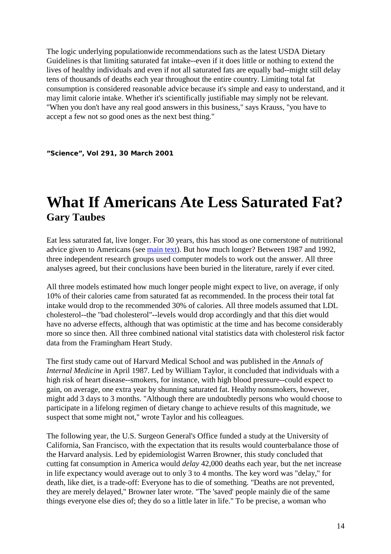The logic underlying populationwide recommendations such as the latest USDA Dietary Guidelines is that limiting saturated fat intake--even if it does little or nothing to extend the lives of healthy individuals and even if not all saturated fats are equally bad--might still delay tens of thousands of deaths each year throughout the entire country. Limiting total fat consumption is considered reasonable advice because it's simple and easy to understand, and it may limit calorie intake. Whether it's scientifically justifiable may simply not be relevant. "When you don't have any real good answers in this business," says Krauss, "you have to accept a few not so good ones as the next best thing."

**"Science", Vol 291, 30 March 2001**

# **What If Americans Ate Less Saturated Fat? Gary Taubes**

Eat less saturated fat, live longer. For 30 years, this has stood as one cornerstone of nutritional advice given to Americans (see main text). But how much longer? Between 1987 and 1992, three independent research groups used computer models to work out the answer. All three analyses agreed, but their conclusions have been buried in the literature, rarely if ever cited.

All three models estimated how much longer people might expect to live, on average, if only 10% of their calories came from saturated fat as recommended. In the process their total fat intake would drop to the recommended 30% of calories. All three models assumed that LDL cholesterol--the "bad cholesterol"--levels would drop accordingly and that this diet would have no adverse effects, although that was optimistic at the time and has become considerably more so since then. All three combined national vital statistics data with cholesterol risk factor data from the Framingham Heart Study.

The first study came out of Harvard Medical School and was published in the *Annals of Internal Medicine* in April 1987. Led by William Taylor, it concluded that individuals with a high risk of heart disease--smokers, for instance, with high blood pressure--could expect to gain, on average, one extra year by shunning saturated fat. Healthy nonsmokers, however, might add 3 days to 3 months. "Although there are undoubtedly persons who would choose to participate in a lifelong regimen of dietary change to achieve results of this magnitude, we suspect that some might not," wrote Taylor and his colleagues.

The following year, the U.S. Surgeon General's Office funded a study at the University of California, San Francisco, with the expectation that its results would counterbalance those of the Harvard analysis. Led by epidemiologist Warren Browner, this study concluded that cutting fat consumption in America would *delay* 42,000 deaths each year, but the net increase in life expectancy would average out to only 3 to 4 months. The key word was "delay," for death, like diet, is a trade-off: Everyone has to die of something. "Deaths are not prevented, they are merely delayed," Browner later wrote. "The 'saved' people mainly die of the same things everyone else dies of; they do so a little later in life." To be precise, a woman who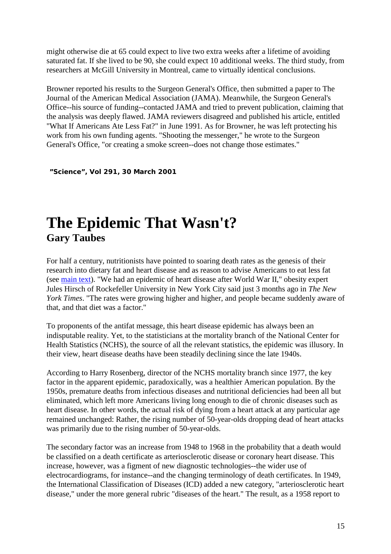might otherwise die at 65 could expect to live two extra weeks after a lifetime of avoiding saturated fat. If she lived to be 90, she could expect 10 additional weeks. The third study, from researchers at McGill University in Montreal, came to virtually identical conclusions.

Browner reported his results to the Surgeon General's Office, then submitted a paper to The Journal of the American Medical Association (JAMA). Meanwhile, the Surgeon General's Office--his source of funding--contacted JAMA and tried to prevent publication, claiming that the analysis was deeply flawed. JAMA reviewers disagreed and published his article, entitled "What If Americans Ate Less Fat?" in June 1991. As for Browner, he was left protecting his work from his own funding agents. "Shooting the messenger," he wrote to the Surgeon General's Office, "or creating a smoke screen--does not change those estimates."

**"Science", Vol 291, 30 March 2001**

## **The Epidemic That Wasn't? Gary Taubes**

For half a century, nutritionists have pointed to soaring death rates as the genesis of their research into dietary fat and heart disease and as reason to advise Americans to eat less fat (see main text). "We had an epidemic of heart disease after World War II," obesity expert Jules Hirsch of Rockefeller University in New York City said just 3 months ago in *The New York Times*. "The rates were growing higher and higher, and people became suddenly aware of that, and that diet was a factor."

To proponents of the antifat message, this heart disease epidemic has always been an indisputable reality. Yet, to the statisticians at the mortality branch of the National Center for Health Statistics (NCHS), the source of all the relevant statistics, the epidemic was illusory. In their view, heart disease deaths have been steadily declining since the late 1940s.

According to Harry Rosenberg, director of the NCHS mortality branch since 1977, the key factor in the apparent epidemic, paradoxically, was a healthier American population. By the 1950s, premature deaths from infectious diseases and nutritional deficiencies had been all but eliminated, which left more Americans living long enough to die of chronic diseases such as heart disease. In other words, the actual risk of dying from a heart attack at any particular age remained unchanged: Rather, the rising number of 50-year-olds dropping dead of heart attacks was primarily due to the rising number of 50-year-olds.

The secondary factor was an increase from 1948 to 1968 in the probability that a death would be classified on a death certificate as arteriosclerotic disease or coronary heart disease. This increase, however, was a figment of new diagnostic technologies--the wider use of electrocardiograms, for instance--and the changing terminology of death certificates. In 1949, the International Classification of Diseases (ICD) added a new category, "arteriosclerotic heart disease," under the more general rubric "diseases of the heart." The result, as a 1958 report to